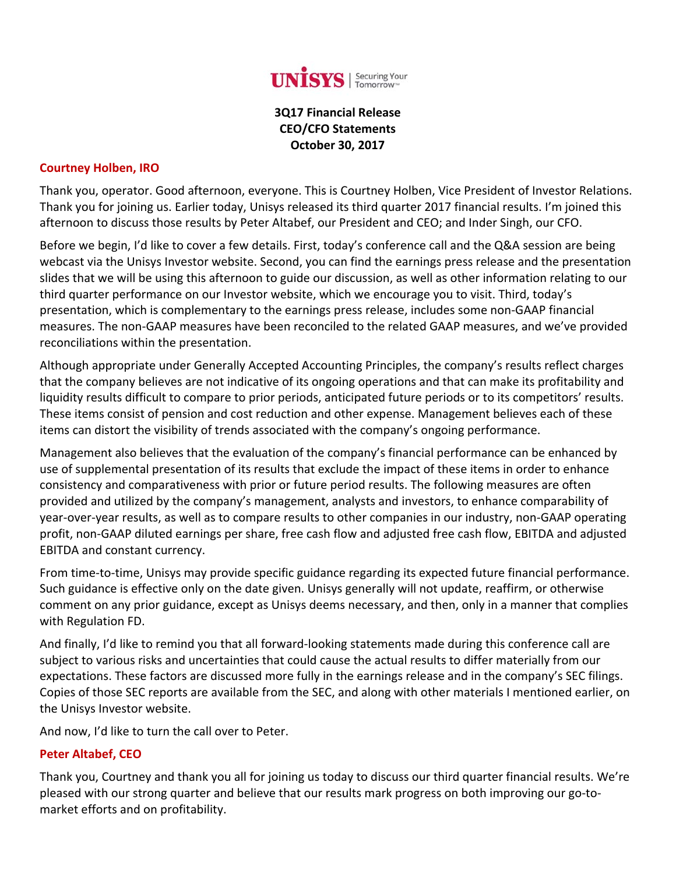

### **3Q17 Financial Release CEO/CFO Statements October 30, 2017**

#### **Courtney Holben, IRO**

Thank you, operator. Good afternoon, everyone. This is Courtney Holben, Vice President of Investor Relations. Thank you for joining us. Earlier today, Unisys released its third quarter 2017 financial results. I'm joined this afternoon to discuss those results by Peter Altabef, our President and CEO; and Inder Singh, our CFO.

Before we begin, I'd like to cover a few details. First, today's conference call and the Q&A session are being webcast via the Unisys Investor website. Second, you can find the earnings press release and the presentation slides that we will be using this afternoon to guide our discussion, as well as other information relating to our third quarter performance on our Investor website, which we encourage you to visit. Third, today's presentation, which is complementary to the earnings press release, includes some non‐GAAP financial measures. The non‐GAAP measures have been reconciled to the related GAAP measures, and we've provided reconciliations within the presentation.

Although appropriate under Generally Accepted Accounting Principles, the company's results reflect charges that the company believes are not indicative of its ongoing operations and that can make its profitability and liquidity results difficult to compare to prior periods, anticipated future periods or to its competitors' results. These items consist of pension and cost reduction and other expense. Management believes each of these items can distort the visibility of trends associated with the company's ongoing performance.

Management also believes that the evaluation of the company's financial performance can be enhanced by use of supplemental presentation of its results that exclude the impact of these items in order to enhance consistency and comparativeness with prior or future period results. The following measures are often provided and utilized by the company's management, analysts and investors, to enhance comparability of year‐over‐year results, as well as to compare results to other companies in our industry, non‐GAAP operating profit, non‐GAAP diluted earnings per share, free cash flow and adjusted free cash flow, EBITDA and adjusted EBITDA and constant currency.

From time‐to‐time, Unisys may provide specific guidance regarding its expected future financial performance. Such guidance is effective only on the date given. Unisys generally will not update, reaffirm, or otherwise comment on any prior guidance, except as Unisys deems necessary, and then, only in a manner that complies with Regulation FD.

And finally, I'd like to remind you that all forward‐looking statements made during this conference call are subject to various risks and uncertainties that could cause the actual results to differ materially from our expectations. These factors are discussed more fully in the earnings release and in the company's SEC filings. Copies of those SEC reports are available from the SEC, and along with other materials I mentioned earlier, on the Unisys Investor website.

And now, I'd like to turn the call over to Peter.

#### **Peter Altabef, CEO**

Thank you, Courtney and thank you all for joining us today to discuss our third quarter financial results. We're pleased with our strong quarter and believe that our results mark progress on both improving our go‐to‐ market efforts and on profitability.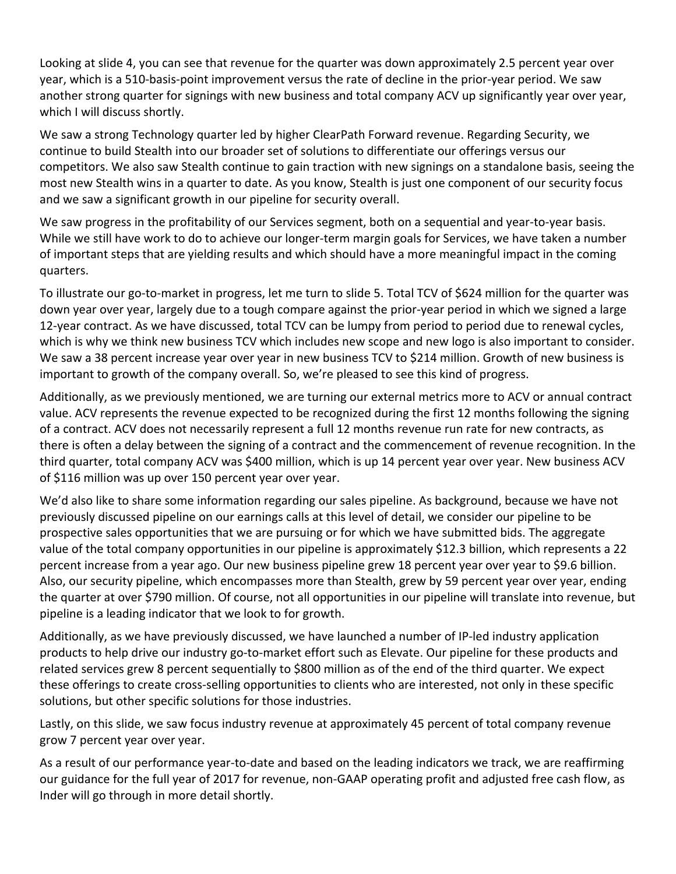Looking at slide 4, you can see that revenue for the quarter was down approximately 2.5 percent year over year, which is a 510‐basis‐point improvement versus the rate of decline in the prior‐year period. We saw another strong quarter for signings with new business and total company ACV up significantly year over year, which I will discuss shortly.

We saw a strong Technology quarter led by higher ClearPath Forward revenue. Regarding Security, we continue to build Stealth into our broader set of solutions to differentiate our offerings versus our competitors. We also saw Stealth continue to gain traction with new signings on a standalone basis, seeing the most new Stealth wins in a quarter to date. As you know, Stealth is just one component of our security focus and we saw a significant growth in our pipeline for security overall.

We saw progress in the profitability of our Services segment, both on a sequential and year-to-year basis. While we still have work to do to achieve our longer-term margin goals for Services, we have taken a number of important steps that are yielding results and which should have a more meaningful impact in the coming quarters.

To illustrate our go‐to‐market in progress, let me turn to slide 5. Total TCV of \$624 million for the quarter was down year over year, largely due to a tough compare against the prior‐year period in which we signed a large 12‐year contract. As we have discussed, total TCV can be lumpy from period to period due to renewal cycles, which is why we think new business TCV which includes new scope and new logo is also important to consider. We saw a 38 percent increase year over year in new business TCV to \$214 million. Growth of new business is important to growth of the company overall. So, we're pleased to see this kind of progress.

Additionally, as we previously mentioned, we are turning our external metrics more to ACV or annual contract value. ACV represents the revenue expected to be recognized during the first 12 months following the signing of a contract. ACV does not necessarily represent a full 12 months revenue run rate for new contracts, as there is often a delay between the signing of a contract and the commencement of revenue recognition. In the third quarter, total company ACV was \$400 million, which is up 14 percent year over year. New business ACV of \$116 million was up over 150 percent year over year.

We'd also like to share some information regarding our sales pipeline. As background, because we have not previously discussed pipeline on our earnings calls at this level of detail, we consider our pipeline to be prospective sales opportunities that we are pursuing or for which we have submitted bids. The aggregate value of the total company opportunities in our pipeline is approximately \$12.3 billion, which represents a 22 percent increase from a year ago. Our new business pipeline grew 18 percent year over year to \$9.6 billion. Also, our security pipeline, which encompasses more than Stealth, grew by 59 percent year over year, ending the quarter at over \$790 million. Of course, not all opportunities in our pipeline will translate into revenue, but pipeline is a leading indicator that we look to for growth.

Additionally, as we have previously discussed, we have launched a number of IP‐led industry application products to help drive our industry go‐to‐market effort such as Elevate. Our pipeline for these products and related services grew 8 percent sequentially to \$800 million as of the end of the third quarter. We expect these offerings to create cross‐selling opportunities to clients who are interested, not only in these specific solutions, but other specific solutions for those industries.

Lastly, on this slide, we saw focus industry revenue at approximately 45 percent of total company revenue grow 7 percent year over year.

As a result of our performance year‐to‐date and based on the leading indicators we track, we are reaffirming our guidance for the full year of 2017 for revenue, non‐GAAP operating profit and adjusted free cash flow, as Inder will go through in more detail shortly.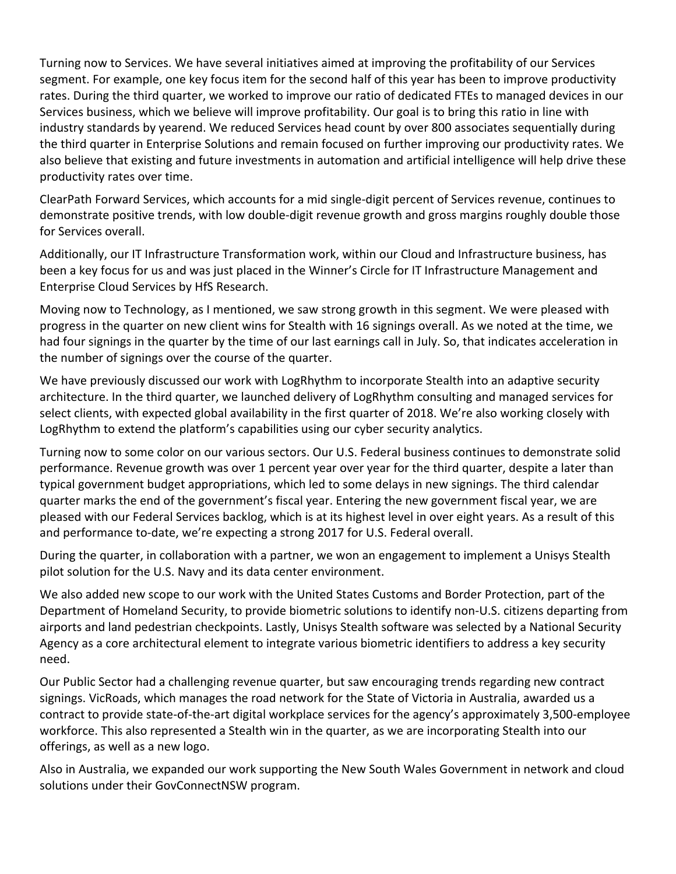Turning now to Services. We have several initiatives aimed at improving the profitability of our Services segment. For example, one key focus item for the second half of this year has been to improve productivity rates. During the third quarter, we worked to improve our ratio of dedicated FTEs to managed devices in our Services business, which we believe will improve profitability. Our goal is to bring this ratio in line with industry standards by yearend. We reduced Services head count by over 800 associates sequentially during the third quarter in Enterprise Solutions and remain focused on further improving our productivity rates. We also believe that existing and future investments in automation and artificial intelligence will help drive these productivity rates over time.

ClearPath Forward Services, which accounts for a mid single‐digit percent of Services revenue, continues to demonstrate positive trends, with low double‐digit revenue growth and gross margins roughly double those for Services overall.

Additionally, our IT Infrastructure Transformation work, within our Cloud and Infrastructure business, has been a key focus for us and was just placed in the Winner's Circle for IT Infrastructure Management and Enterprise Cloud Services by HfS Research.

Moving now to Technology, as I mentioned, we saw strong growth in this segment. We were pleased with progress in the quarter on new client wins for Stealth with 16 signings overall. As we noted at the time, we had four signings in the quarter by the time of our last earnings call in July. So, that indicates acceleration in the number of signings over the course of the quarter.

We have previously discussed our work with LogRhythm to incorporate Stealth into an adaptive security architecture. In the third quarter, we launched delivery of LogRhythm consulting and managed services for select clients, with expected global availability in the first quarter of 2018. We're also working closely with LogRhythm to extend the platform's capabilities using our cyber security analytics.

Turning now to some color on our various sectors. Our U.S. Federal business continues to demonstrate solid performance. Revenue growth was over 1 percent year over year for the third quarter, despite a later than typical government budget appropriations, which led to some delays in new signings. The third calendar quarter marks the end of the government's fiscal year. Entering the new government fiscal year, we are pleased with our Federal Services backlog, which is at its highest level in over eight years. As a result of this and performance to‐date, we're expecting a strong 2017 for U.S. Federal overall.

During the quarter, in collaboration with a partner, we won an engagement to implement a Unisys Stealth pilot solution for the U.S. Navy and its data center environment.

We also added new scope to our work with the United States Customs and Border Protection, part of the Department of Homeland Security, to provide biometric solutions to identify non‐U.S. citizens departing from airports and land pedestrian checkpoints. Lastly, Unisys Stealth software was selected by a National Security Agency as a core architectural element to integrate various biometric identifiers to address a key security need.

Our Public Sector had a challenging revenue quarter, but saw encouraging trends regarding new contract signings. VicRoads, which manages the road network for the State of Victoria in Australia, awarded us a contract to provide state‐of‐the‐art digital workplace services for the agency's approximately 3,500‐employee workforce. This also represented a Stealth win in the quarter, as we are incorporating Stealth into our offerings, as well as a new logo.

Also in Australia, we expanded our work supporting the New South Wales Government in network and cloud solutions under their GovConnectNSW program.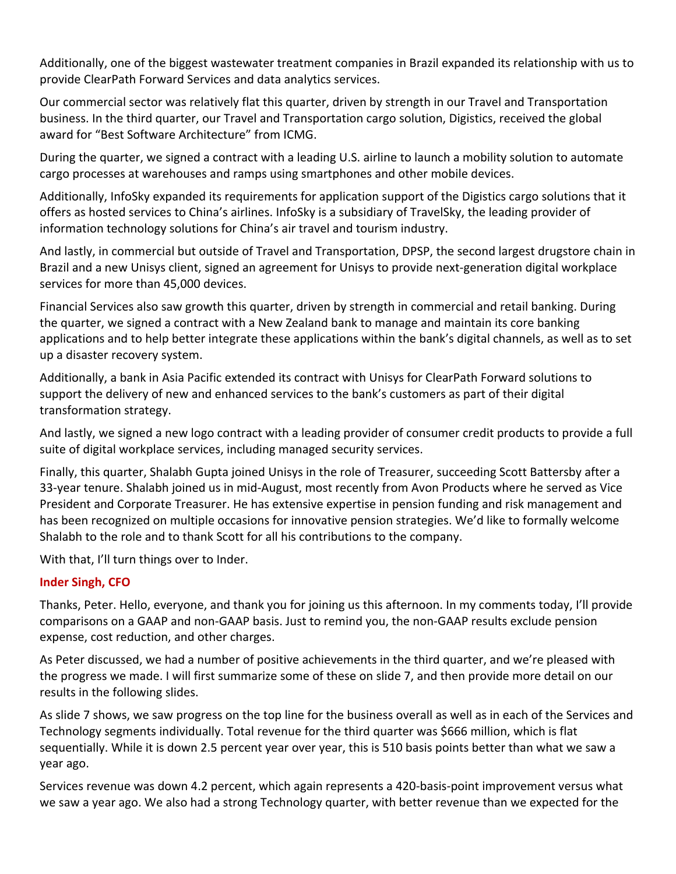Additionally, one of the biggest wastewater treatment companies in Brazil expanded its relationship with us to provide ClearPath Forward Services and data analytics services.

Our commercial sector was relatively flat this quarter, driven by strength in our Travel and Transportation business. In the third quarter, our Travel and Transportation cargo solution, Digistics, received the global award for "Best Software Architecture" from ICMG.

During the quarter, we signed a contract with a leading U.S. airline to launch a mobility solution to automate cargo processes at warehouses and ramps using smartphones and other mobile devices.

Additionally, InfoSky expanded its requirements for application support of the Digistics cargo solutions that it offers as hosted services to China's airlines. InfoSky is a subsidiary of TravelSky, the leading provider of information technology solutions for China's air travel and tourism industry.

And lastly, in commercial but outside of Travel and Transportation, DPSP, the second largest drugstore chain in Brazil and a new Unisys client, signed an agreement for Unisys to provide next‐generation digital workplace services for more than 45,000 devices.

Financial Services also saw growth this quarter, driven by strength in commercial and retail banking. During the quarter, we signed a contract with a New Zealand bank to manage and maintain its core banking applications and to help better integrate these applications within the bank's digital channels, as well as to set up a disaster recovery system.

Additionally, a bank in Asia Pacific extended its contract with Unisys for ClearPath Forward solutions to support the delivery of new and enhanced services to the bank's customers as part of their digital transformation strategy.

And lastly, we signed a new logo contract with a leading provider of consumer credit products to provide a full suite of digital workplace services, including managed security services.

Finally, this quarter, Shalabh Gupta joined Unisys in the role of Treasurer, succeeding Scott Battersby after a 33‐year tenure. Shalabh joined us in mid‐August, most recently from Avon Products where he served as Vice President and Corporate Treasurer. He has extensive expertise in pension funding and risk management and has been recognized on multiple occasions for innovative pension strategies. We'd like to formally welcome Shalabh to the role and to thank Scott for all his contributions to the company.

With that, I'll turn things over to Inder.

### **Inder Singh, CFO**

Thanks, Peter. Hello, everyone, and thank you for joining us this afternoon. In my comments today, I'll provide comparisons on a GAAP and non‐GAAP basis. Just to remind you, the non‐GAAP results exclude pension expense, cost reduction, and other charges.

As Peter discussed, we had a number of positive achievements in the third quarter, and we're pleased with the progress we made. I will first summarize some of these on slide 7, and then provide more detail on our results in the following slides.

As slide 7 shows, we saw progress on the top line for the business overall as well as in each of the Services and Technology segments individually. Total revenue for the third quarter was \$666 million, which is flat sequentially. While it is down 2.5 percent year over year, this is 510 basis points better than what we saw a year ago.

Services revenue was down 4.2 percent, which again represents a 420‐basis‐point improvement versus what we saw a year ago. We also had a strong Technology quarter, with better revenue than we expected for the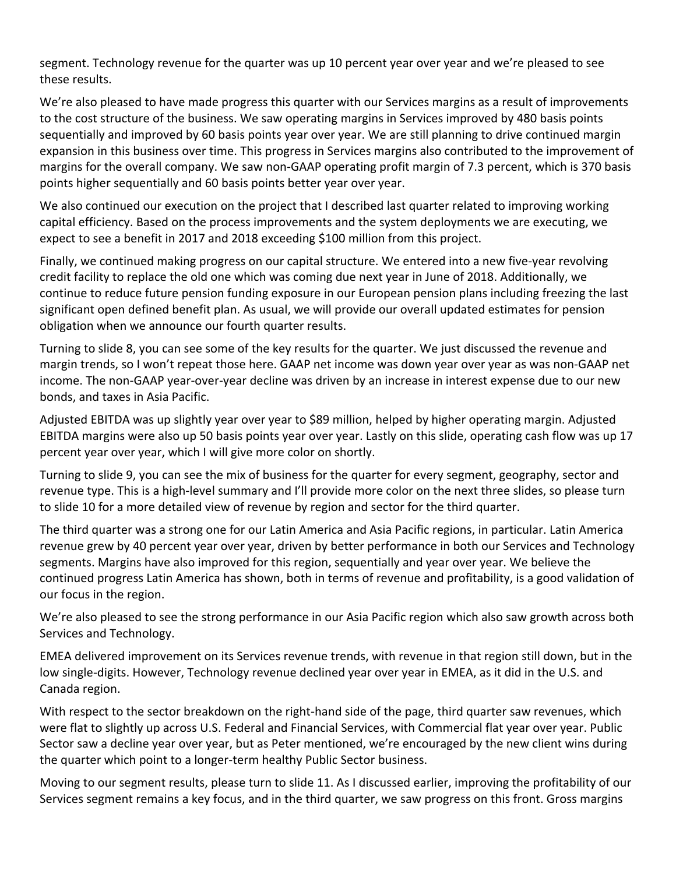segment. Technology revenue for the quarter was up 10 percent year over year and we're pleased to see these results.

We're also pleased to have made progress this quarter with our Services margins as a result of improvements to the cost structure of the business. We saw operating margins in Services improved by 480 basis points sequentially and improved by 60 basis points year over year. We are still planning to drive continued margin expansion in this business over time. This progress in Services margins also contributed to the improvement of margins for the overall company. We saw non‐GAAP operating profit margin of 7.3 percent, which is 370 basis points higher sequentially and 60 basis points better year over year.

We also continued our execution on the project that I described last quarter related to improving working capital efficiency. Based on the process improvements and the system deployments we are executing, we expect to see a benefit in 2017 and 2018 exceeding \$100 million from this project.

Finally, we continued making progress on our capital structure. We entered into a new five-year revolving credit facility to replace the old one which was coming due next year in June of 2018. Additionally, we continue to reduce future pension funding exposure in our European pension plans including freezing the last significant open defined benefit plan. As usual, we will provide our overall updated estimates for pension obligation when we announce our fourth quarter results.

Turning to slide 8, you can see some of the key results for the quarter. We just discussed the revenue and margin trends, so I won't repeat those here. GAAP net income was down year over year as was non‐GAAP net income. The non‐GAAP year‐over‐year decline was driven by an increase in interest expense due to our new bonds, and taxes in Asia Pacific.

Adjusted EBITDA was up slightly year over year to \$89 million, helped by higher operating margin. Adjusted EBITDA margins were also up 50 basis points year over year. Lastly on this slide, operating cash flow was up 17 percent year over year, which I will give more color on shortly.

Turning to slide 9, you can see the mix of business for the quarter for every segment, geography, sector and revenue type. This is a high‐level summary and I'll provide more color on the next three slides, so please turn to slide 10 for a more detailed view of revenue by region and sector for the third quarter.

The third quarter was a strong one for our Latin America and Asia Pacific regions, in particular. Latin America revenue grew by 40 percent year over year, driven by better performance in both our Services and Technology segments. Margins have also improved for this region, sequentially and year over year. We believe the continued progress Latin America has shown, both in terms of revenue and profitability, is a good validation of our focus in the region.

We're also pleased to see the strong performance in our Asia Pacific region which also saw growth across both Services and Technology.

EMEA delivered improvement on its Services revenue trends, with revenue in that region still down, but in the low single-digits. However, Technology revenue declined year over year in EMEA, as it did in the U.S. and Canada region.

With respect to the sector breakdown on the right-hand side of the page, third quarter saw revenues, which were flat to slightly up across U.S. Federal and Financial Services, with Commercial flat year over year. Public Sector saw a decline year over year, but as Peter mentioned, we're encouraged by the new client wins during the quarter which point to a longer‐term healthy Public Sector business.

Moving to our segment results, please turn to slide 11. As I discussed earlier, improving the profitability of our Services segment remains a key focus, and in the third quarter, we saw progress on this front. Gross margins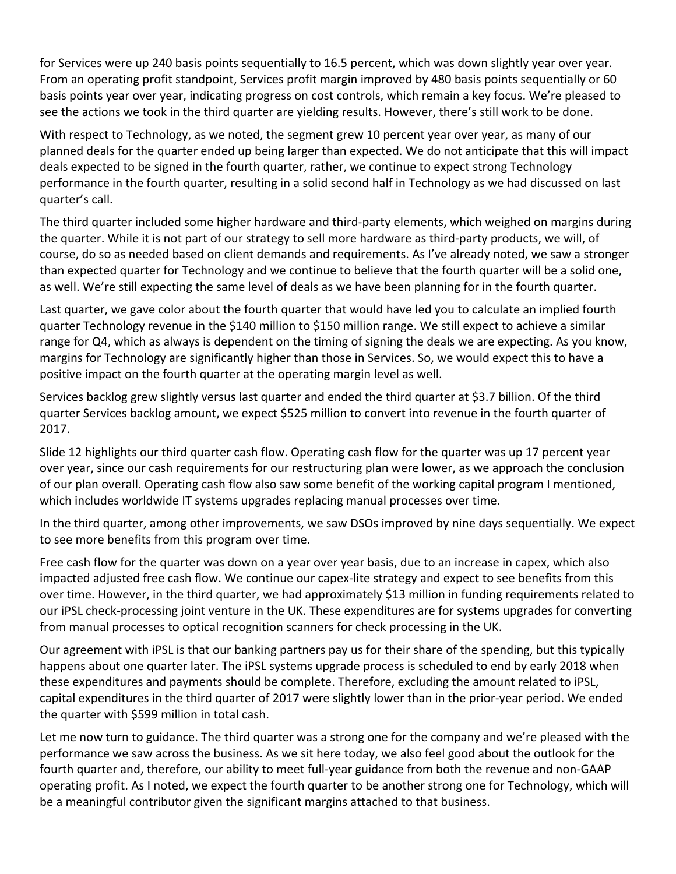for Services were up 240 basis points sequentially to 16.5 percent, which was down slightly year over year. From an operating profit standpoint, Services profit margin improved by 480 basis points sequentially or 60 basis points year over year, indicating progress on cost controls, which remain a key focus. We're pleased to see the actions we took in the third quarter are yielding results. However, there's still work to be done.

With respect to Technology, as we noted, the segment grew 10 percent year over year, as many of our planned deals for the quarter ended up being larger than expected. We do not anticipate that this will impact deals expected to be signed in the fourth quarter, rather, we continue to expect strong Technology performance in the fourth quarter, resulting in a solid second half in Technology as we had discussed on last quarter's call.

The third quarter included some higher hardware and third‐party elements, which weighed on margins during the quarter. While it is not part of our strategy to sell more hardware as third‐party products, we will, of course, do so as needed based on client demands and requirements. As I've already noted, we saw a stronger than expected quarter for Technology and we continue to believe that the fourth quarter will be a solid one, as well. We're still expecting the same level of deals as we have been planning for in the fourth quarter.

Last quarter, we gave color about the fourth quarter that would have led you to calculate an implied fourth quarter Technology revenue in the \$140 million to \$150 million range. We still expect to achieve a similar range for Q4, which as always is dependent on the timing of signing the deals we are expecting. As you know, margins for Technology are significantly higher than those in Services. So, we would expect this to have a positive impact on the fourth quarter at the operating margin level as well.

Services backlog grew slightly versus last quarter and ended the third quarter at \$3.7 billion. Of the third quarter Services backlog amount, we expect \$525 million to convert into revenue in the fourth quarter of 2017.

Slide 12 highlights our third quarter cash flow. Operating cash flow for the quarter was up 17 percent year over year, since our cash requirements for our restructuring plan were lower, as we approach the conclusion of our plan overall. Operating cash flow also saw some benefit of the working capital program I mentioned, which includes worldwide IT systems upgrades replacing manual processes over time.

In the third quarter, among other improvements, we saw DSOs improved by nine days sequentially. We expect to see more benefits from this program over time.

Free cash flow for the quarter was down on a year over year basis, due to an increase in capex, which also impacted adjusted free cash flow. We continue our capex‐lite strategy and expect to see benefits from this over time. However, in the third quarter, we had approximately \$13 million in funding requirements related to our iPSL check‐processing joint venture in the UK. These expenditures are for systems upgrades for converting from manual processes to optical recognition scanners for check processing in the UK.

Our agreement with iPSL is that our banking partners pay us for their share of the spending, but this typically happens about one quarter later. The iPSL systems upgrade process is scheduled to end by early 2018 when these expenditures and payments should be complete. Therefore, excluding the amount related to iPSL, capital expenditures in the third quarter of 2017 were slightly lower than in the prior‐year period. We ended the quarter with \$599 million in total cash.

Let me now turn to guidance. The third quarter was a strong one for the company and we're pleased with the performance we saw across the business. As we sit here today, we also feel good about the outlook for the fourth quarter and, therefore, our ability to meet full‐year guidance from both the revenue and non‐GAAP operating profit. As I noted, we expect the fourth quarter to be another strong one for Technology, which will be a meaningful contributor given the significant margins attached to that business.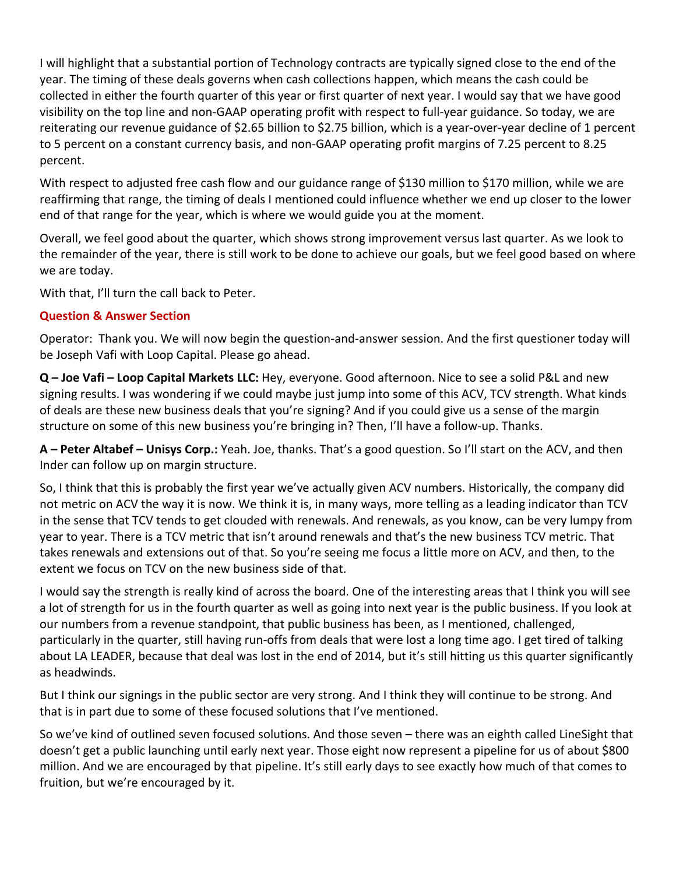I will highlight that a substantial portion of Technology contracts are typically signed close to the end of the year. The timing of these deals governs when cash collections happen, which means the cash could be collected in either the fourth quarter of this year or first quarter of next year. I would say that we have good visibility on the top line and non‐GAAP operating profit with respect to full‐year guidance. So today, we are reiterating our revenue guidance of \$2.65 billion to \$2.75 billion, which is a year‐over‐year decline of 1 percent to 5 percent on a constant currency basis, and non‐GAAP operating profit margins of 7.25 percent to 8.25 percent.

With respect to adjusted free cash flow and our guidance range of \$130 million to \$170 million, while we are reaffirming that range, the timing of deals I mentioned could influence whether we end up closer to the lower end of that range for the year, which is where we would guide you at the moment.

Overall, we feel good about the quarter, which shows strong improvement versus last quarter. As we look to the remainder of the year, there is still work to be done to achieve our goals, but we feel good based on where we are today.

With that, I'll turn the call back to Peter.

### **Question & Answer Section**

Operator: Thank you. We will now begin the question‐and‐answer session. And the first questioner today will be Joseph Vafi with Loop Capital. Please go ahead.

**Q – Joe Vafi – Loop Capital Markets LLC:** Hey, everyone. Good afternoon. Nice to see a solid P&L and new signing results. I was wondering if we could maybe just jump into some of this ACV, TCV strength. What kinds of deals are these new business deals that you're signing? And if you could give us a sense of the margin structure on some of this new business you're bringing in? Then, I'll have a follow-up. Thanks.

**A – Peter Altabef – Unisys Corp.:** Yeah. Joe, thanks. That's a good question. So I'll start on the ACV, and then Inder can follow up on margin structure.

So, I think that this is probably the first year we've actually given ACV numbers. Historically, the company did not metric on ACV the way it is now. We think it is, in many ways, more telling as a leading indicator than TCV in the sense that TCV tends to get clouded with renewals. And renewals, as you know, can be very lumpy from year to year. There is a TCV metric that isn't around renewals and that's the new business TCV metric. That takes renewals and extensions out of that. So you're seeing me focus a little more on ACV, and then, to the extent we focus on TCV on the new business side of that.

I would say the strength is really kind of across the board. One of the interesting areas that I think you will see a lot of strength for us in the fourth quarter as well as going into next year is the public business. If you look at our numbers from a revenue standpoint, that public business has been, as I mentioned, challenged, particularly in the quarter, still having run‐offs from deals that were lost a long time ago. I get tired of talking about LA LEADER, because that deal was lost in the end of 2014, but it's still hitting us this quarter significantly as headwinds.

But I think our signings in the public sector are very strong. And I think they will continue to be strong. And that is in part due to some of these focused solutions that I've mentioned.

So we've kind of outlined seven focused solutions. And those seven – there was an eighth called LineSight that doesn't get a public launching until early next year. Those eight now represent a pipeline for us of about \$800 million. And we are encouraged by that pipeline. It's still early days to see exactly how much of that comes to fruition, but we're encouraged by it.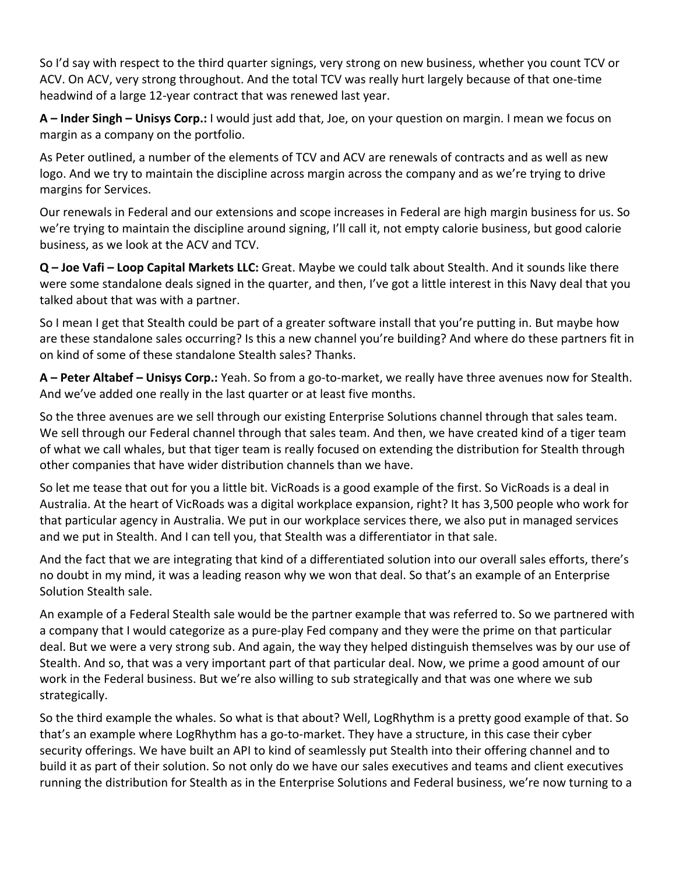So I'd say with respect to the third quarter signings, very strong on new business, whether you count TCV or ACV. On ACV, very strong throughout. And the total TCV was really hurt largely because of that one‐time headwind of a large 12‐year contract that was renewed last year.

**A – Inder Singh – Unisys Corp.:** I would just add that, Joe, on your question on margin. I mean we focus on margin as a company on the portfolio.

As Peter outlined, a number of the elements of TCV and ACV are renewals of contracts and as well as new logo. And we try to maintain the discipline across margin across the company and as we're trying to drive margins for Services.

Our renewals in Federal and our extensions and scope increases in Federal are high margin business for us. So we're trying to maintain the discipline around signing, I'll call it, not empty calorie business, but good calorie business, as we look at the ACV and TCV.

**Q – Joe Vafi – Loop Capital Markets LLC:** Great. Maybe we could talk about Stealth. And it sounds like there were some standalone deals signed in the quarter, and then, I've got a little interest in this Navy deal that you talked about that was with a partner.

So I mean I get that Stealth could be part of a greater software install that you're putting in. But maybe how are these standalone sales occurring? Is this a new channel you're building? And where do these partners fit in on kind of some of these standalone Stealth sales? Thanks.

**A – Peter Altabef – Unisys Corp.:** Yeah. So from a go‐to‐market, we really have three avenues now for Stealth. And we've added one really in the last quarter or at least five months.

So the three avenues are we sell through our existing Enterprise Solutions channel through that sales team. We sell through our Federal channel through that sales team. And then, we have created kind of a tiger team of what we call whales, but that tiger team is really focused on extending the distribution for Stealth through other companies that have wider distribution channels than we have.

So let me tease that out for you a little bit. VicRoads is a good example of the first. So VicRoads is a deal in Australia. At the heart of VicRoads was a digital workplace expansion, right? It has 3,500 people who work for that particular agency in Australia. We put in our workplace services there, we also put in managed services and we put in Stealth. And I can tell you, that Stealth was a differentiator in that sale.

And the fact that we are integrating that kind of a differentiated solution into our overall sales efforts, there's no doubt in my mind, it was a leading reason why we won that deal. So that's an example of an Enterprise Solution Stealth sale.

An example of a Federal Stealth sale would be the partner example that was referred to. So we partnered with a company that I would categorize as a pure‐play Fed company and they were the prime on that particular deal. But we were a very strong sub. And again, the way they helped distinguish themselves was by our use of Stealth. And so, that was a very important part of that particular deal. Now, we prime a good amount of our work in the Federal business. But we're also willing to sub strategically and that was one where we sub strategically.

So the third example the whales. So what is that about? Well, LogRhythm is a pretty good example of that. So that's an example where LogRhythm has a go-to-market. They have a structure, in this case their cyber security offerings. We have built an API to kind of seamlessly put Stealth into their offering channel and to build it as part of their solution. So not only do we have our sales executives and teams and client executives running the distribution for Stealth as in the Enterprise Solutions and Federal business, we're now turning to a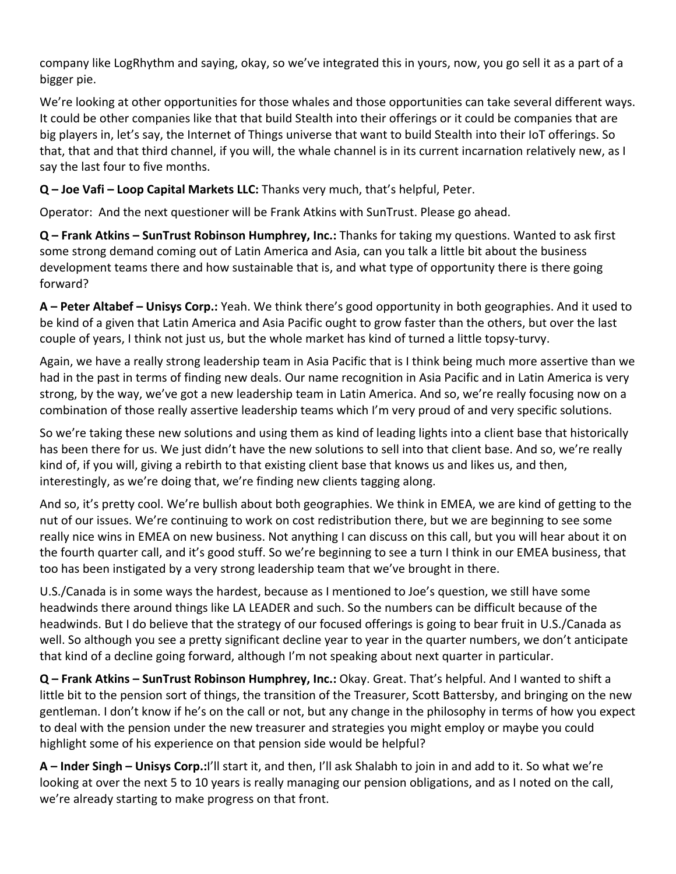company like LogRhythm and saying, okay, so we've integrated this in yours, now, you go sell it as a part of a bigger pie.

We're looking at other opportunities for those whales and those opportunities can take several different ways. It could be other companies like that that build Stealth into their offerings or it could be companies that are big players in, let's say, the Internet of Things universe that want to build Stealth into their IoT offerings. So that, that and that third channel, if you will, the whale channel is in its current incarnation relatively new, as I say the last four to five months.

# **Q – Joe Vafi – Loop Capital Markets LLC:** Thanks very much, that's helpful, Peter.

Operator: And the next questioner will be Frank Atkins with SunTrust. Please go ahead.

**Q – Frank Atkins – SunTrust Robinson Humphrey, Inc.:** Thanks for taking my questions. Wanted to ask first some strong demand coming out of Latin America and Asia, can you talk a little bit about the business development teams there and how sustainable that is, and what type of opportunity there is there going forward?

**A – Peter Altabef – Unisys Corp.:** Yeah. We think there's good opportunity in both geographies. And it used to be kind of a given that Latin America and Asia Pacific ought to grow faster than the others, but over the last couple of years, I think not just us, but the whole market has kind of turned a little topsy-turvy.

Again, we have a really strong leadership team in Asia Pacific that is I think being much more assertive than we had in the past in terms of finding new deals. Our name recognition in Asia Pacific and in Latin America is very strong, by the way, we've got a new leadership team in Latin America. And so, we're really focusing now on a combination of those really assertive leadership teams which I'm very proud of and very specific solutions.

So we're taking these new solutions and using them as kind of leading lights into a client base that historically has been there for us. We just didn't have the new solutions to sell into that client base. And so, we're really kind of, if you will, giving a rebirth to that existing client base that knows us and likes us, and then, interestingly, as we're doing that, we're finding new clients tagging along.

And so, it's pretty cool. We're bullish about both geographies. We think in EMEA, we are kind of getting to the nut of our issues. We're continuing to work on cost redistribution there, but we are beginning to see some really nice wins in EMEA on new business. Not anything I can discuss on this call, but you will hear about it on the fourth quarter call, and it's good stuff. So we're beginning to see a turn I think in our EMEA business, that too has been instigated by a very strong leadership team that we've brought in there.

U.S./Canada is in some ways the hardest, because as I mentioned to Joe's question, we still have some headwinds there around things like LA LEADER and such. So the numbers can be difficult because of the headwinds. But I do believe that the strategy of our focused offerings is going to bear fruit in U.S./Canada as well. So although you see a pretty significant decline year to year in the quarter numbers, we don't anticipate that kind of a decline going forward, although I'm not speaking about next quarter in particular.

**Q – Frank Atkins – SunTrust Robinson Humphrey, Inc.:** Okay. Great. That's helpful. And I wanted to shift a little bit to the pension sort of things, the transition of the Treasurer, Scott Battersby, and bringing on the new gentleman. I don't know if he's on the call or not, but any change in the philosophy in terms of how you expect to deal with the pension under the new treasurer and strategies you might employ or maybe you could highlight some of his experience on that pension side would be helpful?

**A – Inder Singh – Unisys Corp.:**I'll start it, and then, I'll ask Shalabh to join in and add to it. So what we're looking at over the next 5 to 10 years is really managing our pension obligations, and as I noted on the call, we're already starting to make progress on that front.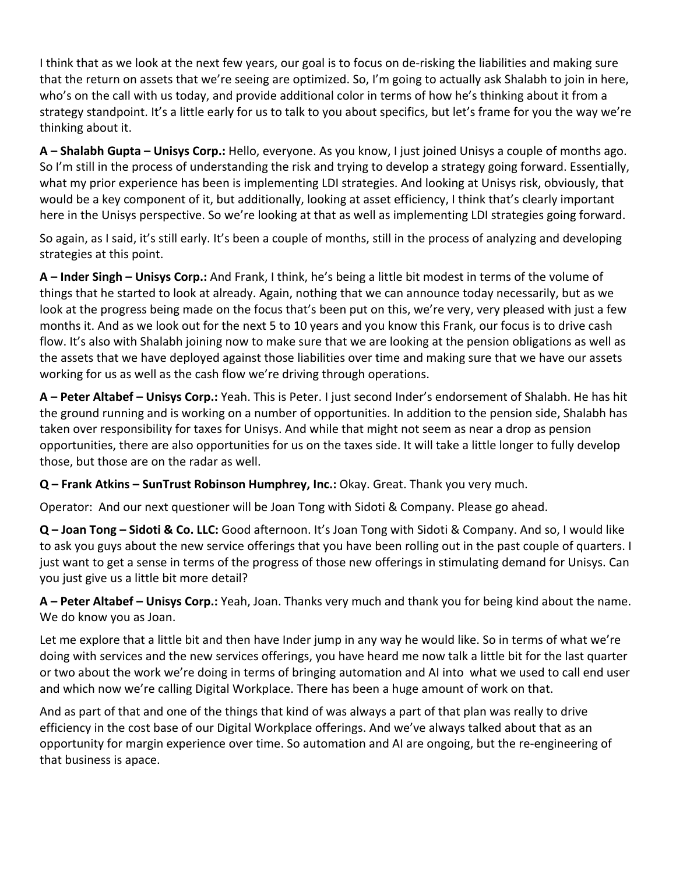I think that as we look at the next few years, our goal is to focus on de‐risking the liabilities and making sure that the return on assets that we're seeing are optimized. So, I'm going to actually ask Shalabh to join in here, who's on the call with us today, and provide additional color in terms of how he's thinking about it from a strategy standpoint. It's a little early for us to talk to you about specifics, but let's frame for you the way we're thinking about it.

**A – Shalabh Gupta – Unisys Corp.:** Hello, everyone. As you know, I just joined Unisys a couple of months ago. So I'm still in the process of understanding the risk and trying to develop a strategy going forward. Essentially, what my prior experience has been is implementing LDI strategies. And looking at Unisys risk, obviously, that would be a key component of it, but additionally, looking at asset efficiency, I think that's clearly important here in the Unisys perspective. So we're looking at that as well as implementing LDI strategies going forward.

So again, as I said, it's still early. It's been a couple of months, still in the process of analyzing and developing strategies at this point.

**A – Inder Singh – Unisys Corp.:** And Frank, I think, he's being a little bit modest in terms of the volume of things that he started to look at already. Again, nothing that we can announce today necessarily, but as we look at the progress being made on the focus that's been put on this, we're very, very pleased with just a few months it. And as we look out for the next 5 to 10 years and you know this Frank, our focus is to drive cash flow. It's also with Shalabh joining now to make sure that we are looking at the pension obligations as well as the assets that we have deployed against those liabilities over time and making sure that we have our assets working for us as well as the cash flow we're driving through operations.

**A – Peter Altabef – Unisys Corp.:** Yeah. This is Peter. I just second Inder's endorsement of Shalabh. He has hit the ground running and is working on a number of opportunities. In addition to the pension side, Shalabh has taken over responsibility for taxes for Unisys. And while that might not seem as near a drop as pension opportunities, there are also opportunities for us on the taxes side. It will take a little longer to fully develop those, but those are on the radar as well.

**Q – Frank Atkins – SunTrust Robinson Humphrey, Inc.:** Okay. Great. Thank you very much.

Operator: And our next questioner will be Joan Tong with Sidoti & Company. Please go ahead.

**Q – Joan Tong – Sidoti & Co. LLC:** Good afternoon. It's Joan Tong with Sidoti & Company. And so, I would like to ask you guys about the new service offerings that you have been rolling out in the past couple of quarters. I just want to get a sense in terms of the progress of those new offerings in stimulating demand for Unisys. Can you just give us a little bit more detail?

**A – Peter Altabef – Unisys Corp.:** Yeah, Joan. Thanks very much and thank you for being kind about the name. We do know you as Joan.

Let me explore that a little bit and then have Inder jump in any way he would like. So in terms of what we're doing with services and the new services offerings, you have heard me now talk a little bit for the last quarter or two about the work we're doing in terms of bringing automation and AI into what we used to call end user and which now we're calling Digital Workplace. There has been a huge amount of work on that.

And as part of that and one of the things that kind of was always a part of that plan was really to drive efficiency in the cost base of our Digital Workplace offerings. And we've always talked about that as an opportunity for margin experience over time. So automation and AI are ongoing, but the re‐engineering of that business is apace.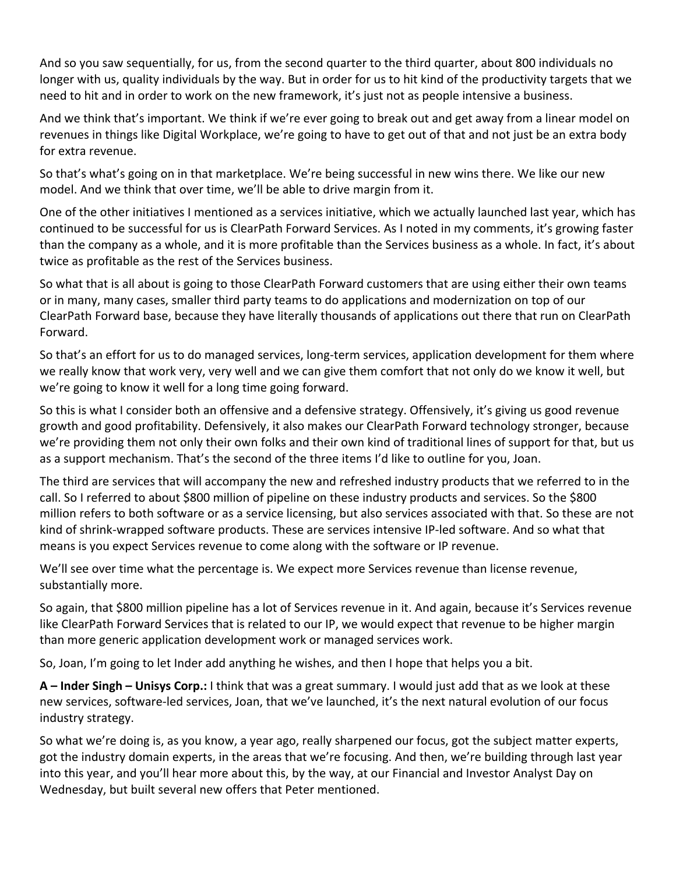And so you saw sequentially, for us, from the second quarter to the third quarter, about 800 individuals no longer with us, quality individuals by the way. But in order for us to hit kind of the productivity targets that we need to hit and in order to work on the new framework, it's just not as people intensive a business.

And we think that's important. We think if we're ever going to break out and get away from a linear model on revenues in things like Digital Workplace, we're going to have to get out of that and not just be an extra body for extra revenue.

So that's what's going on in that marketplace. We're being successful in new wins there. We like our new model. And we think that over time, we'll be able to drive margin from it.

One of the other initiatives I mentioned as a services initiative, which we actually launched last year, which has continued to be successful for us is ClearPath Forward Services. As I noted in my comments, it's growing faster than the company as a whole, and it is more profitable than the Services business as a whole. In fact, it's about twice as profitable as the rest of the Services business.

So what that is all about is going to those ClearPath Forward customers that are using either their own teams or in many, many cases, smaller third party teams to do applications and modernization on top of our ClearPath Forward base, because they have literally thousands of applications out there that run on ClearPath Forward.

So that's an effort for us to do managed services, long‐term services, application development for them where we really know that work very, very well and we can give them comfort that not only do we know it well, but we're going to know it well for a long time going forward.

So this is what I consider both an offensive and a defensive strategy. Offensively, it's giving us good revenue growth and good profitability. Defensively, it also makes our ClearPath Forward technology stronger, because we're providing them not only their own folks and their own kind of traditional lines of support for that, but us as a support mechanism. That's the second of the three items I'd like to outline for you, Joan.

The third are services that will accompany the new and refreshed industry products that we referred to in the call. So I referred to about \$800 million of pipeline on these industry products and services. So the \$800 million refers to both software or as a service licensing, but also services associated with that. So these are not kind of shrink‐wrapped software products. These are services intensive IP‐led software. And so what that means is you expect Services revenue to come along with the software or IP revenue.

We'll see over time what the percentage is. We expect more Services revenue than license revenue, substantially more.

So again, that \$800 million pipeline has a lot of Services revenue in it. And again, because it's Services revenue like ClearPath Forward Services that is related to our IP, we would expect that revenue to be higher margin than more generic application development work or managed services work.

So, Joan, I'm going to let Inder add anything he wishes, and then I hope that helps you a bit.

**A – Inder Singh – Unisys Corp.:** I think that was a great summary. I would just add that as we look at these new services, software‐led services, Joan, that we've launched, it's the next natural evolution of our focus industry strategy.

So what we're doing is, as you know, a year ago, really sharpened our focus, got the subject matter experts, got the industry domain experts, in the areas that we're focusing. And then, we're building through last year into this year, and you'll hear more about this, by the way, at our Financial and Investor Analyst Day on Wednesday, but built several new offers that Peter mentioned.